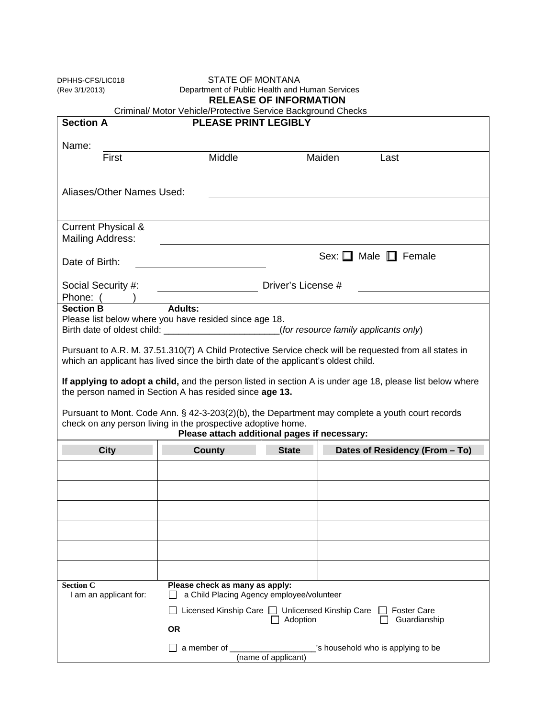| DPHHS-CFS/LIC018<br>(Rev 3/1/2013) | <b>STATE OF MONTANA</b><br>Department of Public Health and Human Services<br><b>RELEASE OF INFORMATION</b><br>Criminal/ Motor Vehicle/Protective Service Background Checks |              |                                                                                                           |  |
|------------------------------------|----------------------------------------------------------------------------------------------------------------------------------------------------------------------------|--------------|-----------------------------------------------------------------------------------------------------------|--|
| <b>Section A</b>                   | <b>PLEASE PRINT LEGIBLY</b>                                                                                                                                                |              |                                                                                                           |  |
|                                    |                                                                                                                                                                            |              |                                                                                                           |  |
| Name:                              |                                                                                                                                                                            |              |                                                                                                           |  |
| First                              | Middle                                                                                                                                                                     |              | Maiden<br>Last                                                                                            |  |
|                                    |                                                                                                                                                                            |              |                                                                                                           |  |
| Aliases/Other Names Used:          |                                                                                                                                                                            |              |                                                                                                           |  |
|                                    |                                                                                                                                                                            |              |                                                                                                           |  |
|                                    |                                                                                                                                                                            |              |                                                                                                           |  |
| <b>Current Physical &amp;</b>      |                                                                                                                                                                            |              |                                                                                                           |  |
| Mailing Address:                   |                                                                                                                                                                            |              |                                                                                                           |  |
|                                    |                                                                                                                                                                            |              | Sex: $\Box$ Male $\Box$ Female                                                                            |  |
| Date of Birth:                     |                                                                                                                                                                            |              |                                                                                                           |  |
| Social Security #:                 | Driver's License #                                                                                                                                                         |              |                                                                                                           |  |
| Phone: (                           |                                                                                                                                                                            |              |                                                                                                           |  |
| <b>Section B</b>                   | Adults:                                                                                                                                                                    |              |                                                                                                           |  |
|                                    | Please list below where you have resided since age 18.                                                                                                                     |              |                                                                                                           |  |
|                                    |                                                                                                                                                                            |              | Birth date of oldest child: _______________________(for resource family applicants only)                  |  |
|                                    |                                                                                                                                                                            |              | Pursuant to A.R. M. 37.51.310(7) A Child Protective Service check will be requested from all states in    |  |
|                                    | which an applicant has lived since the birth date of the applicant's oldest child.                                                                                         |              |                                                                                                           |  |
|                                    |                                                                                                                                                                            |              |                                                                                                           |  |
|                                    |                                                                                                                                                                            |              | If applying to adopt a child, and the person listed in section A is under age 18, please list below where |  |
|                                    | the person named in Section A has resided since age 13.                                                                                                                    |              |                                                                                                           |  |
|                                    |                                                                                                                                                                            |              | Pursuant to Mont. Code Ann. § 42-3-203(2)(b), the Department may complete a youth court records           |  |
|                                    | check on any person living in the prospective adoptive home.                                                                                                               |              |                                                                                                           |  |
|                                    | Please attach additional pages if necessary:                                                                                                                               |              |                                                                                                           |  |
| <b>City</b>                        | <b>County</b>                                                                                                                                                              | <b>State</b> | Dates of Residency (From - To)                                                                            |  |
|                                    |                                                                                                                                                                            |              |                                                                                                           |  |
|                                    |                                                                                                                                                                            |              |                                                                                                           |  |
|                                    |                                                                                                                                                                            |              |                                                                                                           |  |
|                                    |                                                                                                                                                                            |              |                                                                                                           |  |
|                                    |                                                                                                                                                                            |              |                                                                                                           |  |
|                                    |                                                                                                                                                                            |              |                                                                                                           |  |
|                                    |                                                                                                                                                                            |              |                                                                                                           |  |
|                                    |                                                                                                                                                                            |              |                                                                                                           |  |
|                                    |                                                                                                                                                                            |              |                                                                                                           |  |
|                                    |                                                                                                                                                                            |              |                                                                                                           |  |
| <b>Section C</b>                   | Please check as many as apply:                                                                                                                                             |              |                                                                                                           |  |
| I am an applicant for:             | a Child Placing Agency employee/volunteer                                                                                                                                  |              |                                                                                                           |  |
|                                    | Licensed Kinship Care □ Unlicensed Kinship Care                                                                                                                            |              | <b>Foster Care</b>                                                                                        |  |
|                                    |                                                                                                                                                                            | Adoption     | Guardianship                                                                                              |  |
|                                    | <b>OR</b><br>a member of                                                                                                                                                   |              | s household who is applying to be                                                                         |  |